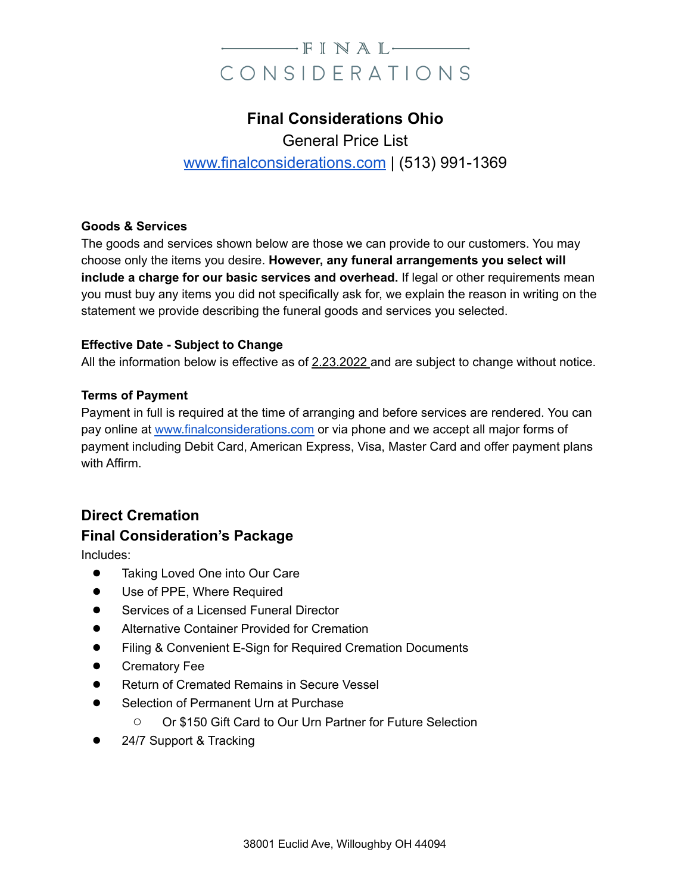# $\longrightarrow$  FINAL $\longrightarrow$ CONSIDERATIONS

# **Final Considerations Ohio** General Price List [www.finalconsiderations.com](http://www.finalconsiderations.com) | (513) 991-1369

#### **Goods & Services**

The goods and services shown below are those we can provide to our customers. You may choose only the items you desire. **However, any funeral arrangements you select will include a charge for our basic services and overhead.** If legal or other requirements mean you must buy any items you did not specifically ask for, we explain the reason in writing on the statement we provide describing the funeral goods and services you selected.

#### **Effective Date - Subject to Change**

All the information below is effective as of 2.23.2022 and are subject to change without notice.

#### **Terms of Payment**

Payment in full is required at the time of arranging and before services are rendered. You can pay online at [www.finalconsiderations.com](http://www.finalconsiderations.com) or via phone and we accept all major forms of payment including Debit Card, American Express, Visa, Master Card and offer payment plans with Affirm.

## **Direct Cremation**

### **Final Consideration's Package**

Includes:

- Taking Loved One into Our Care
- Use of PPE, Where Required
- Services of a Licensed Funeral Director
- Alternative Container Provided for Cremation
- Filing & Convenient E-Sign for Required Cremation Documents
- **Crematory Fee**
- **Return of Cremated Remains in Secure Vessel**
- Selection of Permanent Urn at Purchase
	- Or \$150 Gift Card to Our Urn Partner for Future Selection
- 24/7 Support & Tracking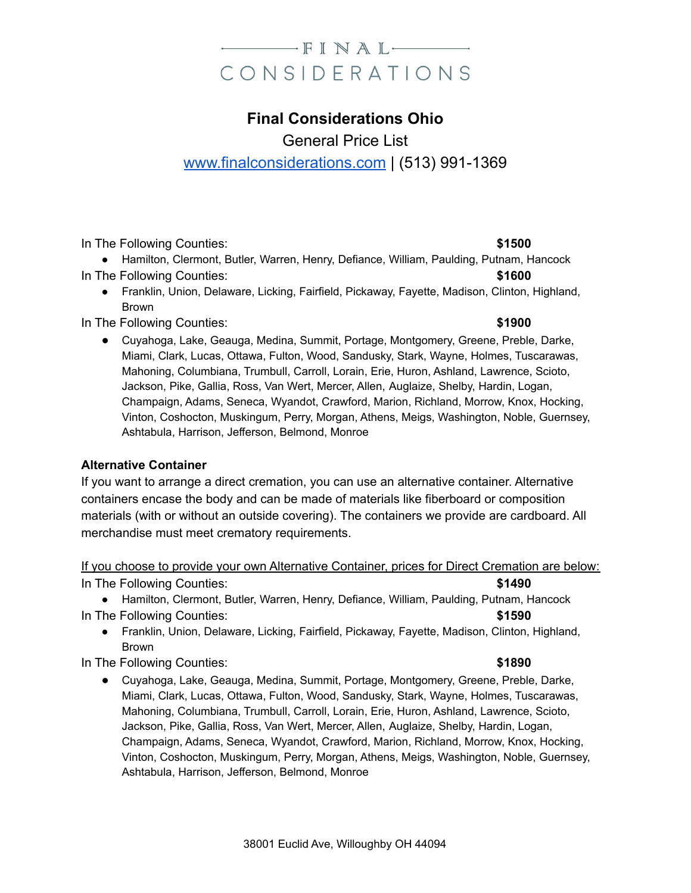# $-\blacksquare$ FINAL $-\blacksquare$ CONSIDERATIONS

# **Final Considerations Ohio**

General Price List

## [www.finalconsiderations.com](http://www.finalconsiderations.com) | (513) 991-1369

In The Following Counties: **All and Struck and Struck and Struck and Struck and Struck and Struck and Struck and Struck and Struck and Struck and Struck and Struck and Struck and Struck and Struck and Struck and Struck and** 

● Hamilton, Clermont, Butler, Warren, Henry, Defiance, William, Paulding, Putnam, Hancock In The Following Counties: **\$1600 \$1600** 

● Franklin, Union, Delaware, Licking, Fairfield, Pickaway, Fayette, Madison, Clinton, Highland, Brown

In The Following Counties: **\$1900** 

● Cuyahoga, Lake, Geauga, Medina, Summit, Portage, Montgomery, Greene, Preble, Darke, Miami, Clark, Lucas, Ottawa, Fulton, Wood, Sandusky, Stark, Wayne, Holmes, Tuscarawas, Mahoning, Columbiana, Trumbull, Carroll, Lorain, Erie, Huron, Ashland, Lawrence, Scioto, Jackson, Pike, Gallia, Ross, Van Wert, Mercer, Allen, Auglaize, Shelby, Hardin, Logan, Champaign, Adams, Seneca, Wyandot, Crawford, Marion, Richland, Morrow, Knox, Hocking, Vinton, Coshocton, Muskingum, Perry, Morgan, Athens, Meigs, Washington, Noble, Guernsey, Ashtabula, Harrison, Jefferson, Belmond, Monroe

### **Alternative Container**

If you want to arrange a direct cremation, you can use an alternative container. Alternative containers encase the body and can be made of materials like fiberboard or composition materials (with or without an outside covering). The containers we provide are cardboard. All merchandise must meet crematory requirements.

### If you choose to provide your own Alternative Container, prices for Direct Cremation are below: In The Following Counties: **\$1490**

● Hamilton, Clermont, Butler, Warren, Henry, Defiance, William, Paulding, Putnam, Hancock In The Following Counties: **All and Struck and Struck and Struck and Struck and Struck and Struck and Struck and Struck and Struck and Struck and Struck and Struck and Struck and Struck and Struck and Struck and Struck and** 

● Franklin, Union, Delaware, Licking, Fairfield, Pickaway, Fayette, Madison, Clinton, Highland, Brown

In The Following Counties: **All and Struck and Struck and Struck and Struck and Struck and Struck and Struck and Struck and Struck and Struck and Struck and Struck and Struck and Struck and Struck and Struck and Struck and** 

● Cuyahoga, Lake, Geauga, Medina, Summit, Portage, Montgomery, Greene, Preble, Darke, Miami, Clark, Lucas, Ottawa, Fulton, Wood, Sandusky, Stark, Wayne, Holmes, Tuscarawas, Mahoning, Columbiana, Trumbull, Carroll, Lorain, Erie, Huron, Ashland, Lawrence, Scioto, Jackson, Pike, Gallia, Ross, Van Wert, Mercer, Allen, Auglaize, Shelby, Hardin, Logan, Champaign, Adams, Seneca, Wyandot, Crawford, Marion, Richland, Morrow, Knox, Hocking, Vinton, Coshocton, Muskingum, Perry, Morgan, Athens, Meigs, Washington, Noble, Guernsey, Ashtabula, Harrison, Jefferson, Belmond, Monroe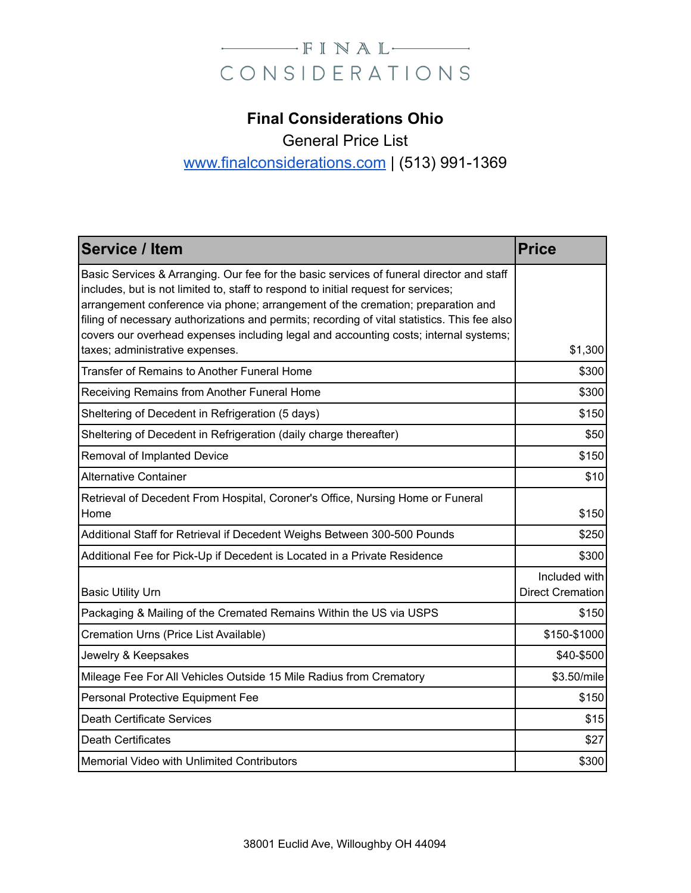# CONSIDERATIONS

# **Final Considerations Ohio**

General Price List

## [www.finalconsiderations.com](http://www.finalconsiderations.com) | (513) 991-1369

| <b>Service / Item</b>                                                                                                                                                                                                                                                                                                                                                                                                                                                                        | <b>Price</b>                             |
|----------------------------------------------------------------------------------------------------------------------------------------------------------------------------------------------------------------------------------------------------------------------------------------------------------------------------------------------------------------------------------------------------------------------------------------------------------------------------------------------|------------------------------------------|
| Basic Services & Arranging. Our fee for the basic services of funeral director and staff<br>includes, but is not limited to, staff to respond to initial request for services;<br>arrangement conference via phone; arrangement of the cremation; preparation and<br>filing of necessary authorizations and permits; recording of vital statistics. This fee also<br>covers our overhead expenses including legal and accounting costs; internal systems;<br>taxes; administrative expenses. | \$1,300                                  |
| Transfer of Remains to Another Funeral Home                                                                                                                                                                                                                                                                                                                                                                                                                                                  | \$300                                    |
| Receiving Remains from Another Funeral Home                                                                                                                                                                                                                                                                                                                                                                                                                                                  | \$300                                    |
| Sheltering of Decedent in Refrigeration (5 days)                                                                                                                                                                                                                                                                                                                                                                                                                                             | \$150                                    |
| Sheltering of Decedent in Refrigeration (daily charge thereafter)                                                                                                                                                                                                                                                                                                                                                                                                                            | \$50                                     |
| Removal of Implanted Device                                                                                                                                                                                                                                                                                                                                                                                                                                                                  | \$150                                    |
| <b>Alternative Container</b>                                                                                                                                                                                                                                                                                                                                                                                                                                                                 | \$10                                     |
| Retrieval of Decedent From Hospital, Coroner's Office, Nursing Home or Funeral<br>Home                                                                                                                                                                                                                                                                                                                                                                                                       | \$150                                    |
| Additional Staff for Retrieval if Decedent Weighs Between 300-500 Pounds                                                                                                                                                                                                                                                                                                                                                                                                                     | \$250                                    |
| Additional Fee for Pick-Up if Decedent is Located in a Private Residence                                                                                                                                                                                                                                                                                                                                                                                                                     | \$300                                    |
| <b>Basic Utility Urn</b>                                                                                                                                                                                                                                                                                                                                                                                                                                                                     | Included with<br><b>Direct Cremation</b> |
| Packaging & Mailing of the Cremated Remains Within the US via USPS                                                                                                                                                                                                                                                                                                                                                                                                                           | \$150                                    |
| Cremation Urns (Price List Available)                                                                                                                                                                                                                                                                                                                                                                                                                                                        | \$150-\$1000                             |
| Jewelry & Keepsakes                                                                                                                                                                                                                                                                                                                                                                                                                                                                          | \$40-\$500                               |
| Mileage Fee For All Vehicles Outside 15 Mile Radius from Crematory                                                                                                                                                                                                                                                                                                                                                                                                                           | \$3.50/mile                              |
| Personal Protective Equipment Fee                                                                                                                                                                                                                                                                                                                                                                                                                                                            | \$150                                    |
| Death Certificate Services                                                                                                                                                                                                                                                                                                                                                                                                                                                                   | \$15                                     |
| Death Certificates                                                                                                                                                                                                                                                                                                                                                                                                                                                                           | \$27                                     |
| Memorial Video with Unlimited Contributors                                                                                                                                                                                                                                                                                                                                                                                                                                                   | \$300                                    |